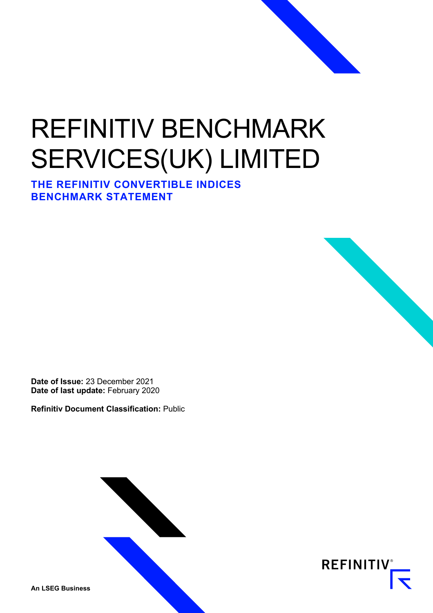# REFINITIV BENCHMARK SERVICES(UK) LIMITED

**THE REFINITIV CONVERTIBLE INDICES BENCHMARK STATEMENT** 



**Refinitiv Document Classification:** Public



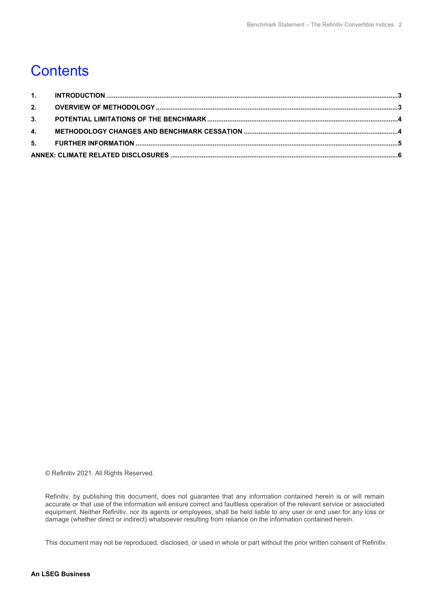### **Contents**

© Refinitiv 2021. All Rights Reserved.

Refinitiv, by publishing this document, does not guarantee that any information contained herein is or will remain accurate or that use of the information will ensure correct and faultless operation of the relevant service or associated equipment. Neither Refinitiv, nor its agents or employees, shall be held liable to any user or end user for any loss or damage (whether direct or indirect) whatsoever resulting from reliance on the information contained herein.

This document may not be reproduced, disclosed, or used in whole or part without the prior written consent of Refinitiv.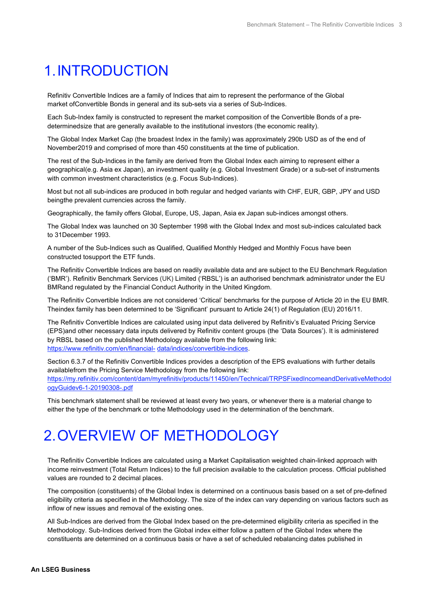## <span id="page-2-0"></span>1.INTRODUCTION

Refinitiv Convertible Indices are a family of Indices that aim to represent the performance of the Global market ofConvertible Bonds in general and its sub-sets via a series of Sub-Indices.

Each Sub-Index family is constructed to represent the market composition of the Convertible Bonds of a predeterminedsize that are generally available to the institutional investors (the economic reality).

The Global Index Market Cap (the broadest Index in the family) was approximately 290b USD as of the end of November2019 and comprised of more than 450 constituents at the time of publication.

The rest of the Sub-Indices in the family are derived from the Global Index each aiming to represent either a geographical(e.g. Asia ex Japan), an investment quality (e.g. Global Investment Grade) or a sub-set of instruments with common investment characteristics (e.g. Focus Sub-Indices).

Most but not all sub-indices are produced in both regular and hedged variants with CHF, EUR, GBP, JPY and USD beingthe prevalent currencies across the family.

Geographically, the family offers Global, Europe, US, Japan, Asia ex Japan sub-indices amongst others.

The Global Index was launched on 30 September 1998 with the Global Index and most sub-indices calculated back to 31December 1993.

A number of the Sub-Indices such as Qualified, Qualified Monthly Hedged and Monthly Focus have been constructed tosupport the ETF funds.

The Refinitiv Convertible Indices are based on readily available data and are subject to the EU Benchmark Regulation ('BMR'). Refinitiv Benchmark Services (UK) Limited ('RBSL') is an authorised benchmark administrator under the EU BMRand regulated by the Financial Conduct Authority in the United Kingdom.

The Refinitiv Convertible Indices are not considered 'Critical' benchmarks for the purpose of Article 20 in the EU BMR. Theindex family has been determined to be 'Significant' pursuant to Article 24(1) of Regulation (EU) 2016/11.

The Refinitiv Convertible Indices are calculated using input data delivered by Refinitiv's Evaluated Pricing Service (EPS)and other necessary data inputs delivered by Refinitiv content groups (the 'Data Sources'). It is administered by RBSL based on the published Methodology available from the following link: [https://www.refinitiv.com/en/financial-](https://www.refinitiv.com/en/financial-data/indices/convertible-indices) [data/indices/convertible-indices.](https://www.refinitiv.com/en/financial-data/indices/convertible-indices)

Section 6.3.7 of the Refinitiv Convertible Indices provides a description of the EPS evaluations with further details availablefrom the Pricing Service Methodology from the following link: [https://my.refinitiv.com/content/dam/myrefinitiv/products/11450/en/Technical/TRPSFixedIncomeandDerivativeMethodol](https://my.refinitiv.com/content/dam/myrefinitiv/products/11450/en/Technical/TRPSFixedIncomeandDerivativeMethodologyGuidev6-1-20190308-.pdf) [ogyGuidev6-1-20190308-.pdf](https://my.refinitiv.com/content/dam/myrefinitiv/products/11450/en/Technical/TRPSFixedIncomeandDerivativeMethodologyGuidev6-1-20190308-.pdf)

This benchmark statement shall be reviewed at least every two years, or whenever there is a material change to either the type of the benchmark or tothe Methodology used in the determination of the benchmark.

### <span id="page-2-1"></span>2.OVERVIEW OF METHODOLOGY

The Refinitiv Convertible Indices are calculated using a Market Capitalisation weighted chain-linked approach with income reinvestment (Total Return Indices) to the full precision available to the calculation process. Official published values are rounded to 2 decimal places.

The composition (constituents) of the Global Index is determined on a continuous basis based on a set of pre-defined eligibility criteria as specified in the Methodology. The size of the index can vary depending on various factors such as inflow of new issues and removal of the existing ones.

All Sub-Indices are derived from the Global Index based on the pre-determined eligibility criteria as specified in the Methodology. Sub-Indices derived from the Global index either follow a pattern of the Global Index where the constituents are determined on a continuous basis or have a set of scheduled rebalancing dates published in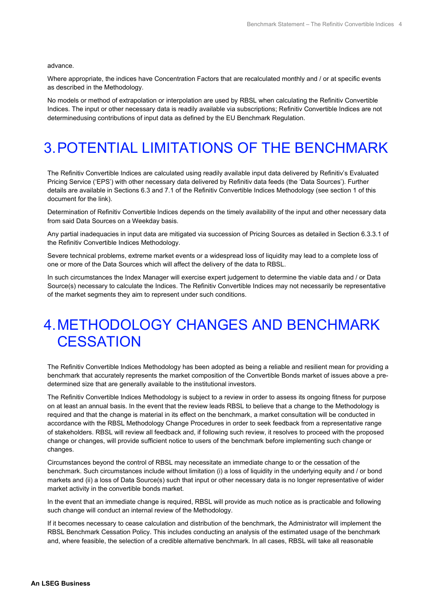advance.

Where appropriate, the indices have Concentration Factors that are recalculated monthly and / or at specific events as described in the Methodology.

No models or method of extrapolation or interpolation are used by RBSL when calculating the Refinitiv Convertible Indices. The input or other necessary data is readily available via subscriptions; Refinitiv Convertible Indices are not determinedusing contributions of input data as defined by the EU Benchmark Regulation.

# <span id="page-3-0"></span>3.POTENTIAL LIMITATIONS OF THE BENCHMARK

The Refinitiv Convertible Indices are calculated using readily available input data delivered by Refinitiv's Evaluated Pricing Service ('EPS') with other necessary data delivered by Refinitiv data feeds (the 'Data Sources'). Further details are available in Sections 6.3 and 7.1 of the Refinitiv Convertible Indices Methodology (see section 1 of this document for the link).

Determination of Refinitiv Convertible Indices depends on the timely availability of the input and other necessary data from said Data Sources on a Weekday basis.

Any partial inadequacies in input data are mitigated via succession of Pricing Sources as detailed in Section 6.3.3.1 of the Refinitiv Convertible Indices Methodology.

Severe technical problems, extreme market events or a widespread loss of liquidity may lead to a complete loss of one or more of the Data Sources which will affect the delivery of the data to RBSL.

In such circumstances the Index Manager will exercise expert judgement to determine the viable data and / or Data Source(s) necessary to calculate the Indices. The Refinitiv Convertible Indices may not necessarily be representative of the market segments they aim to represent under such conditions.

#### <span id="page-3-1"></span>4.METHODOLOGY CHANGES AND BENCHMARK **CESSATION**

The Refinitiv Convertible Indices Methodology has been adopted as being a reliable and resilient mean for providing a benchmark that accurately represents the market composition of the Convertible Bonds market of issues above a predetermined size that are generally available to the institutional investors.

The Refinitiv Convertible Indices Methodology is subject to a review in order to assess its ongoing fitness for purpose on at least an annual basis. In the event that the review leads RBSL to believe that a change to the Methodology is required and that the change is material in its effect on the benchmark, a market consultation will be conducted in accordance with the RBSL Methodology Change Procedures in order to seek feedback from a representative range of stakeholders. RBSL will review all feedback and, if following such review, it resolves to proceed with the proposed change or changes, will provide sufficient notice to users of the benchmark before implementing such change or changes.

Circumstances beyond the control of RBSL may necessitate an immediate change to or the cessation of the benchmark. Such circumstances include without limitation (i) a loss of liquidity in the underlying equity and / or bond markets and (ii) a loss of Data Source(s) such that input or other necessary data is no longer representative of wider market activity in the convertible bonds market.

In the event that an immediate change is required, RBSL will provide as much notice as is practicable and following such change will conduct an internal review of the Methodology.

If it becomes necessary to cease calculation and distribution of the benchmark, the Administrator will implement the RBSL Benchmark Cessation Policy. This includes conducting an analysis of the estimated usage of the benchmark and, where feasible, the selection of a credible alternative benchmark. In all cases, RBSL will take all reasonable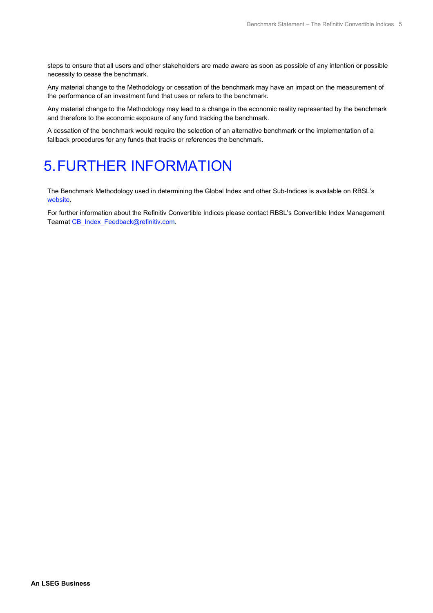steps to ensure that all users and other stakeholders are made aware as soon as possible of any intention or possible necessity to cease the benchmark.

Any material change to the Methodology or cessation of the benchmark may have an impact on the measurement of the performance of an investment fund that uses or refers to the benchmark.

Any material change to the Methodology may lead to a change in the economic reality represented by the benchmark and therefore to the economic exposure of any fund tracking the benchmark.

A cessation of the benchmark would require the selection of an alternative benchmark or the implementation of a fallback procedures for any funds that tracks or references the benchmark.

## <span id="page-4-0"></span>5.FURTHER INFORMATION

The Benchmark Methodology used in determining the Global Index and other Sub-Indices is available on RBSL's [website.](https://www.refinitiv.com/en/financial-data/indices/convertible-indices)

For further information about the Refinitiv Convertible Indices please contact RBSL's Convertible Index Management Teamat [CB\\_Index\\_Feedback@refinitiv.com.](mailto:CB_Index_Feedback@refinitiv.com)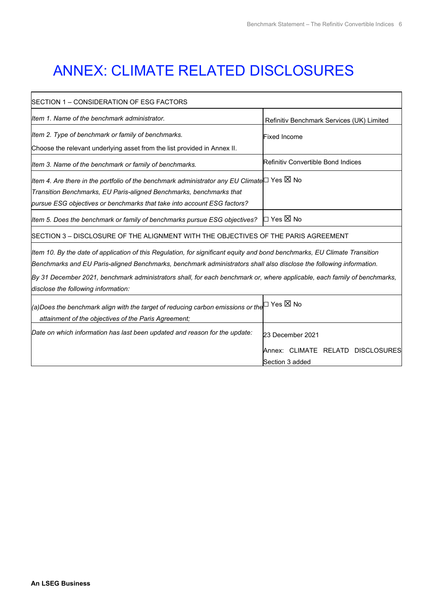٦

# <span id="page-5-0"></span>ANNEX: CLIMATE RELATED DISCLOSURES

| SECTION 1 – CONSIDERATION OF ESG FACTORS                                                                                  |  |  |
|---------------------------------------------------------------------------------------------------------------------------|--|--|
| Refinitiv Benchmark Services (UK) Limited                                                                                 |  |  |
| <b>Fixed Income</b>                                                                                                       |  |  |
|                                                                                                                           |  |  |
| Refinitiv Convertible Bond Indices                                                                                        |  |  |
| Item 4. Are there in the portfolio of the benchmark administrator any EU Climate $□$ Yes $□$ No                           |  |  |
|                                                                                                                           |  |  |
|                                                                                                                           |  |  |
| l⊡ Yes ⊠ No                                                                                                               |  |  |
| SECTION 3 – DISCLOSURE OF THE ALIGNMENT WITH THE OBJECTIVES OF THE PARIS AGREEMENT                                        |  |  |
| Item 10. By the date of application of this Regulation, for significant equity and bond benchmarks, EU Climate Transition |  |  |
| Benchmarks and EU Paris-aligned Benchmarks, benchmark administrators shall also disclose the following information.       |  |  |
| By 31 December 2021, benchmark administrators shall, for each benchmark or, where applicable, each family of benchmarks,  |  |  |
| disclose the following information:                                                                                       |  |  |
| $ $ (a)Does the benchmark align with the target of reducing carbon emissions or the $\Box$ Yes $\boxtimes$ No             |  |  |
|                                                                                                                           |  |  |
| Item 5. Does the benchmark or family of benchmarks pursue ESG objectives?                                                 |  |  |

Date on which information has last been updated and reason for the update: 23 December 2021 Annex: CLIMATE RELATD DISCLOSURES Section 3 added